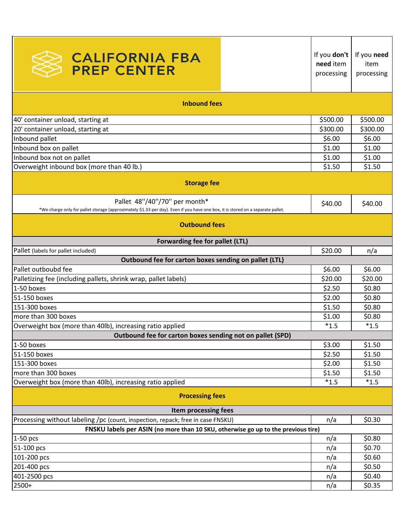| <b>CALIFORNIA FBA<br/>PREP CENTER</b>                                                                                                                                | If you don't<br>need item<br>processing | If you need<br>item<br>processing |  |
|----------------------------------------------------------------------------------------------------------------------------------------------------------------------|-----------------------------------------|-----------------------------------|--|
| <b>Inbound fees</b>                                                                                                                                                  |                                         |                                   |  |
| 40' container unload, starting at                                                                                                                                    | \$500.00                                | \$500.00                          |  |
| 20' container unload, starting at                                                                                                                                    | \$300.00                                | \$300.00                          |  |
| Inbound pallet                                                                                                                                                       | \$6.00                                  | \$6.00                            |  |
| Inbound box on pallet                                                                                                                                                | \$1.00                                  | \$1.00                            |  |
| Inbound box not on pallet                                                                                                                                            | \$1.00                                  | \$1.00                            |  |
| Overweight inbound box (more than 40 lb.)                                                                                                                            | \$1.50                                  | \$1.50                            |  |
| <b>Storage fee</b>                                                                                                                                                   |                                         |                                   |  |
| Pallet 48"/40"/70" per month*<br>*We charge only for pallet storage (approximately \$1.33 per day). Even if you have one box, it is stored on a separate pallet.     | \$40.00                                 | \$40.00                           |  |
| <b>Outbound fees</b><br>Forwarding fee for pallet (LTL)                                                                                                              |                                         |                                   |  |
| Pallet (labels for pallet included)                                                                                                                                  | \$20.00                                 | n/a                               |  |
| Outbound fee for carton boxes sending on pallet (LTL)                                                                                                                |                                         |                                   |  |
| Pallet outboubd fee                                                                                                                                                  | \$6.00                                  | \$6.00                            |  |
| Palletizing fee (including pallets, shrink wrap, pallet labels)                                                                                                      | \$20.00                                 | \$20.00                           |  |
| 1-50 boxes                                                                                                                                                           | \$2.50                                  | \$0.80                            |  |
| 51-150 boxes                                                                                                                                                         | \$2.00                                  | \$0.80                            |  |
| 151-300 boxes                                                                                                                                                        | \$1.50                                  | \$0.80                            |  |
| more than 300 boxes                                                                                                                                                  |                                         | \$1.00<br>\$0.80                  |  |
| Overweight box (more than 40lb), increasing ratio applied                                                                                                            | $*1.5$                                  | $*1.5$                            |  |
| Outbound fee for carton boxes sending not on pallet (SPD)                                                                                                            |                                         |                                   |  |
| 1-50 boxes                                                                                                                                                           | \$3.00                                  | \$1.50                            |  |
| 51-150 boxes                                                                                                                                                         | \$2.50                                  | \$1.50                            |  |
| 151-300 boxes                                                                                                                                                        | \$2.00                                  | \$1.50                            |  |
| more than 300 boxes                                                                                                                                                  | \$1.50                                  | \$1.50                            |  |
| Overweight box (more than 40lb), increasing ratio applied                                                                                                            | $*1.5$                                  | $*1.5$                            |  |
| <b>Processing fees</b>                                                                                                                                               |                                         |                                   |  |
| Item processing fees                                                                                                                                                 |                                         | \$0.30                            |  |
| Processing without labeling /pc (count, inspection, repack; free in case FNSKU)<br>FNSKU labels per ASIN (no more than 10 SKU, otherwise go up to the previous tire) | n/a                                     |                                   |  |
| 1-50 pcs                                                                                                                                                             | n/a                                     | \$0.80                            |  |
| 51-100 pcs                                                                                                                                                           | n/a                                     | \$0.70                            |  |
| 101-200 pcs                                                                                                                                                          | n/a                                     | \$0.60                            |  |
| 201-400 pcs                                                                                                                                                          | n/a                                     | \$0.50                            |  |
| 401-2500 pcs                                                                                                                                                         | n/a                                     | \$0.40                            |  |
| 2500+                                                                                                                                                                | n/a                                     | \$0.35                            |  |
|                                                                                                                                                                      |                                         |                                   |  |